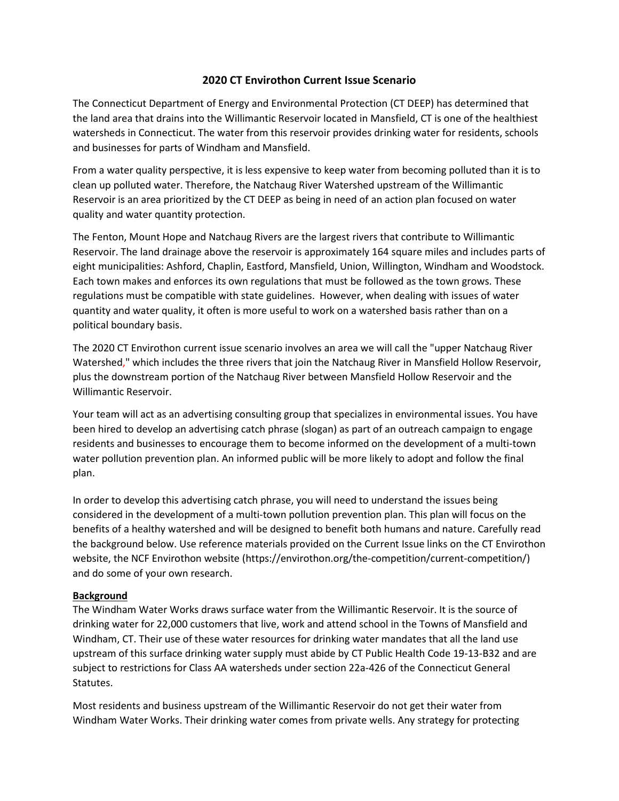## **2020 CT Envirothon Current Issue Scenario**

The Connecticut Department of Energy and Environmental Protection (CT DEEP) has determined that the land area that drains into the Willimantic Reservoir located in Mansfield, CT is one of the healthiest watersheds in Connecticut. The water from this reservoir provides drinking water for residents, schools and businesses for parts of Windham and Mansfield.

From a water quality perspective, it is less expensive to keep water from becoming polluted than it is to clean up polluted water. Therefore, the Natchaug River Watershed upstream of the Willimantic Reservoir is an area prioritized by the CT DEEP as being in need of an action plan focused on water quality and water quantity protection.

The Fenton, Mount Hope and Natchaug Rivers are the largest rivers that contribute to Willimantic Reservoir. The land drainage above the reservoir is approximately 164 square miles and includes parts of eight municipalities: Ashford, Chaplin, Eastford, Mansfield, Union, Willington, Windham and Woodstock. Each town makes and enforces its own regulations that must be followed as the town grows. These regulations must be compatible with state guidelines. However, when dealing with issues of water quantity and water quality, it often is more useful to work on a watershed basis rather than on a political boundary basis.

The 2020 CT Envirothon current issue scenario involves an area we will call the "upper Natchaug River Watershed," which includes the three rivers that join the Natchaug River in Mansfield Hollow Reservoir, plus the downstream portion of the Natchaug River between Mansfield Hollow Reservoir and the Willimantic Reservoir.

Your team will act as an advertising consulting group that specializes in environmental issues. You have been hired to develop an advertising catch phrase (slogan) as part of an outreach campaign to engage residents and businesses to encourage them to become informed on the development of a multi-town water pollution prevention plan. An informed public will be more likely to adopt and follow the final plan.

In order to develop this advertising catch phrase, you will need to understand the issues being considered in the development of a multi-town pollution prevention plan. This plan will focus on the benefits of a healthy watershed and will be designed to benefit both humans and nature. Carefully read the background below. Use reference materials provided on the Current Issue links on the CT Envirothon website, the NCF Envirothon website (https://envirothon.org/the-competition/current-competition/) and do some of your own research.

## **Background**

The Windham Water Works draws surface water from the Willimantic Reservoir. It is the source of drinking water for 22,000 customers that live, work and attend school in the Towns of Mansfield and Windham, CT. Their use of these water resources for drinking water mandates that all the land use upstream of this surface drinking water supply must abide by CT Public Health Code 19-13-B32 and are subject to restrictions for Class AA watersheds under section 22a-426 of the Connecticut General Statutes.

Most residents and business upstream of the Willimantic Reservoir do not get their water from Windham Water Works. Their drinking water comes from private wells. Any strategy for protecting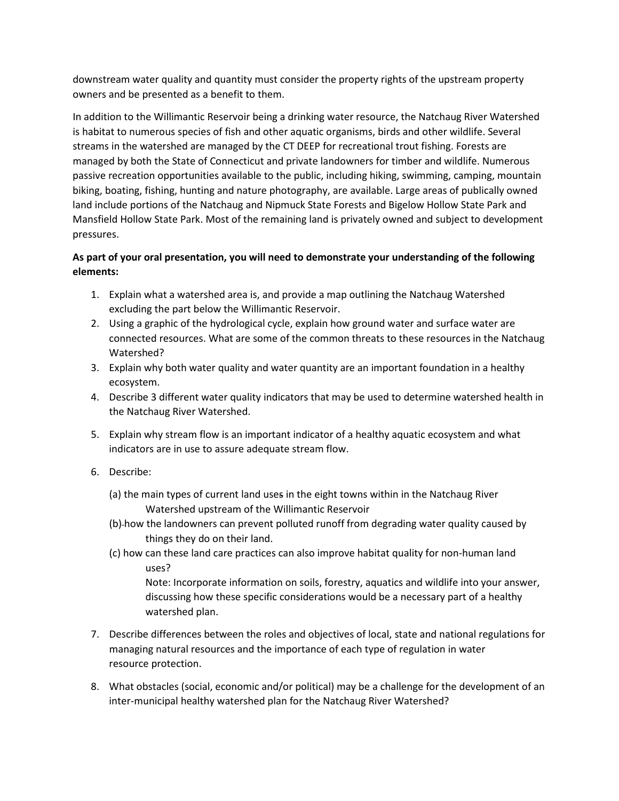downstream water quality and quantity must consider the property rights of the upstream property owners and be presented as a benefit to them.

In addition to the Willimantic Reservoir being a drinking water resource, the Natchaug River Watershed is habitat to numerous species of fish and other aquatic organisms, birds and other wildlife. Several streams in the watershed are managed by the CT DEEP for recreational trout fishing. Forests are managed by both the State of Connecticut and private landowners for timber and wildlife. Numerous passive recreation opportunities available to the public, including hiking, swimming, camping, mountain biking, boating, fishing, hunting and nature photography, are available. Large areas of publically owned land include portions of the Natchaug and Nipmuck State Forests and Bigelow Hollow State Park and Mansfield Hollow State Park. Most of the remaining land is privately owned and subject to development pressures.

## **As part of your oral presentation, you will need to demonstrate your understanding of the following elements:**

- 1. Explain what a watershed area is, and provide a map outlining the Natchaug Watershed excluding the part below the Willimantic Reservoir.
- 2. Using a graphic of the hydrological cycle, explain how ground water and surface water are connected resources. What are some of the common threats to these resources in the Natchaug Watershed?
- 3. Explain why both water quality and water quantity are an important foundation in a healthy ecosystem.
- 4. Describe 3 different water quality indicators that may be used to determine watershed health in the Natchaug River Watershed.
- 5. Explain why stream flow is an important indicator of a healthy aquatic ecosystem and what indicators are in use to assure adequate stream flow.
- 6. Describe:
	- (a) the main types of current land uses in the eight towns within in the Natchaug River Watershed upstream of the Willimantic Reservoir
	- (b) how the landowners can prevent polluted runoff from degrading water quality caused by things they do on their land.
	- (c) how can these land care practices can also improve habitat quality for non-human land uses?

Note: Incorporate information on soils, forestry, aquatics and wildlife into your answer, discussing how these specific considerations would be a necessary part of a healthy watershed plan.

- 7. Describe differences between the roles and objectives of local, state and national regulations for managing natural resources and the importance of each type of regulation in water resource protection.
- 8. What obstacles (social, economic and/or political) may be a challenge for the development of an inter-municipal healthy watershed plan for the Natchaug River Watershed?